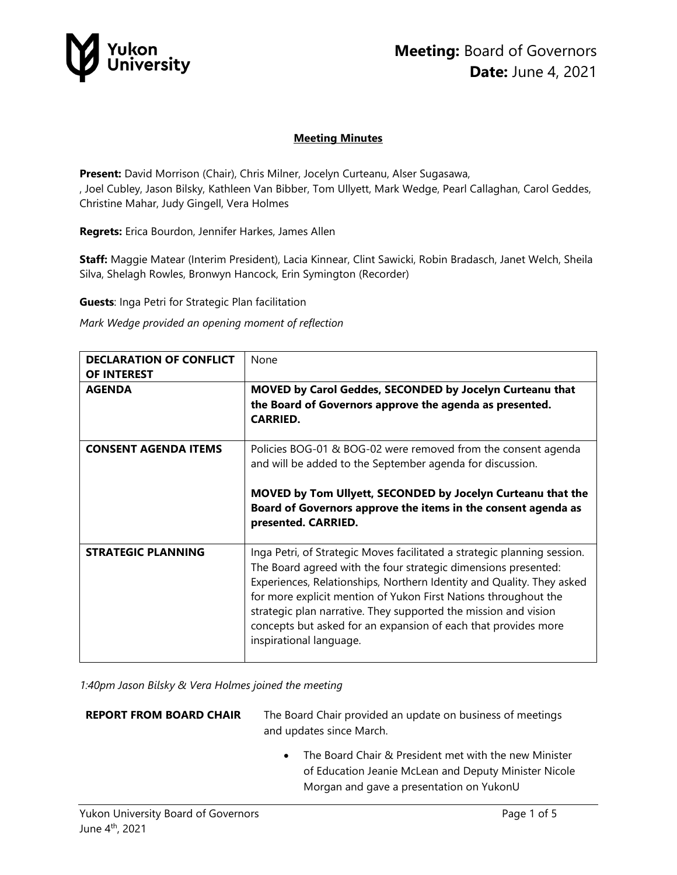

#### **Meeting Minutes**

**Present:** David Morrison (Chair), Chris Milner, Jocelyn Curteanu, Alser Sugasawa, , Joel Cubley, Jason Bilsky, Kathleen Van Bibber, Tom Ullyett, Mark Wedge, Pearl Callaghan, Carol Geddes, Christine Mahar, Judy Gingell, Vera Holmes

**Regrets:** Erica Bourdon, Jennifer Harkes, James Allen

**Staff:** Maggie Matear (Interim President), Lacia Kinnear, Clint Sawicki, Robin Bradasch, Janet Welch, Sheila Silva, Shelagh Rowles, Bronwyn Hancock, Erin Symington (Recorder)

**Guests**: Inga Petri for Strategic Plan facilitation

*Mark Wedge provided an opening moment of reflection*

| <b>DECLARATION OF CONFLICT</b><br>OF INTEREST | None                                                                                                                                                                                                                                                                                                                                                                                                                                                   |
|-----------------------------------------------|--------------------------------------------------------------------------------------------------------------------------------------------------------------------------------------------------------------------------------------------------------------------------------------------------------------------------------------------------------------------------------------------------------------------------------------------------------|
| <b>AGENDA</b>                                 | MOVED by Carol Geddes, SECONDED by Jocelyn Curteanu that<br>the Board of Governors approve the agenda as presented.<br><b>CARRIED.</b>                                                                                                                                                                                                                                                                                                                 |
| <b>CONSENT AGENDA ITEMS</b>                   | Policies BOG-01 & BOG-02 were removed from the consent agenda<br>and will be added to the September agenda for discussion.<br>MOVED by Tom Ullyett, SECONDED by Jocelyn Curteanu that the<br>Board of Governors approve the items in the consent agenda as<br>presented. CARRIED.                                                                                                                                                                      |
| <b>STRATEGIC PLANNING</b>                     | Inga Petri, of Strategic Moves facilitated a strategic planning session.<br>The Board agreed with the four strategic dimensions presented:<br>Experiences, Relationships, Northern Identity and Quality. They asked<br>for more explicit mention of Yukon First Nations throughout the<br>strategic plan narrative. They supported the mission and vision<br>concepts but asked for an expansion of each that provides more<br>inspirational language. |

*1:40pm Jason Bilsky & Vera Holmes joined the meeting*

| <b>REPORT FROM BOARD CHAIR</b> | The Board Chair provided an update on business of meetings<br>and updates since March.                                                                                  |
|--------------------------------|-------------------------------------------------------------------------------------------------------------------------------------------------------------------------|
|                                | The Board Chair & President met with the new Minister<br>$\bullet$<br>of Education Jeanie McLean and Deputy Minister Nicole<br>Morgan and gave a presentation on YukonU |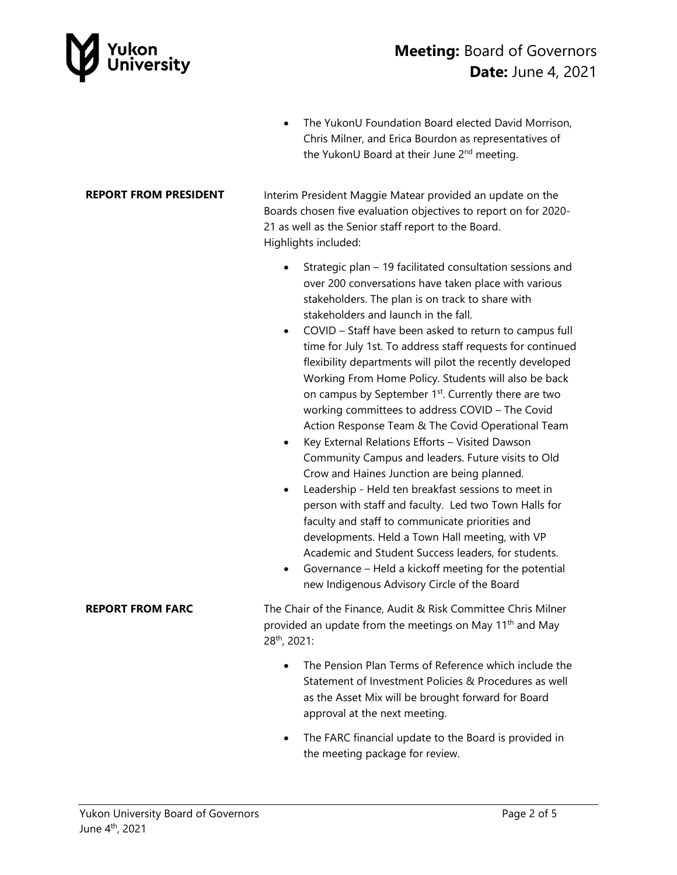

## **Meeting:** Board of Governors **Date:** June 4, 2021

• The YukonU Foundation Board elected David Morrison, Chris Milner, and Erica Bourdon as representatives of the YukonU Board at their June 2<sup>nd</sup> meeting.

**REPORT FROM PRESIDENT** Interim President Maggie Matear provided an update on the Boards chosen five evaluation objectives to report on for 2020- 21 as well as the Senior staff report to the Board. Highlights included:

- Strategic plan 19 facilitated consultation sessions and over 200 conversations have taken place with various stakeholders. The plan is on track to share with stakeholders and launch in the fall.
- COVID Staff have been asked to return to campus full time for July 1st. To address staff requests for continued flexibility departments will pilot the recently developed Working From Home Policy. Students will also be back on campus by September 1<sup>st</sup>. Currently there are two working committees to address COVID – The Covid Action Response Team & The Covid Operational Team
- Key External Relations Efforts Visited Dawson Community Campus and leaders. Future visits to Old Crow and Haines Junction are being planned.
- Leadership Held ten breakfast sessions to meet in person with staff and faculty. Led two Town Halls for faculty and staff to communicate priorities and developments. Held a Town Hall meeting, with VP Academic and Student Success leaders, for students.
- Governance Held a kickoff meeting for the potential new Indigenous Advisory Circle of the Board

**REPORT FROM FARC** The Chair of the Finance, Audit & Risk Committee Chris Milner provided an update from the meetings on May 11<sup>th</sup> and May 28th, 2021:

- The Pension Plan Terms of Reference which include the Statement of Investment Policies & Procedures as well as the Asset Mix will be brought forward for Board approval at the next meeting.
- The FARC financial update to the Board is provided in the meeting package for review.
- 
-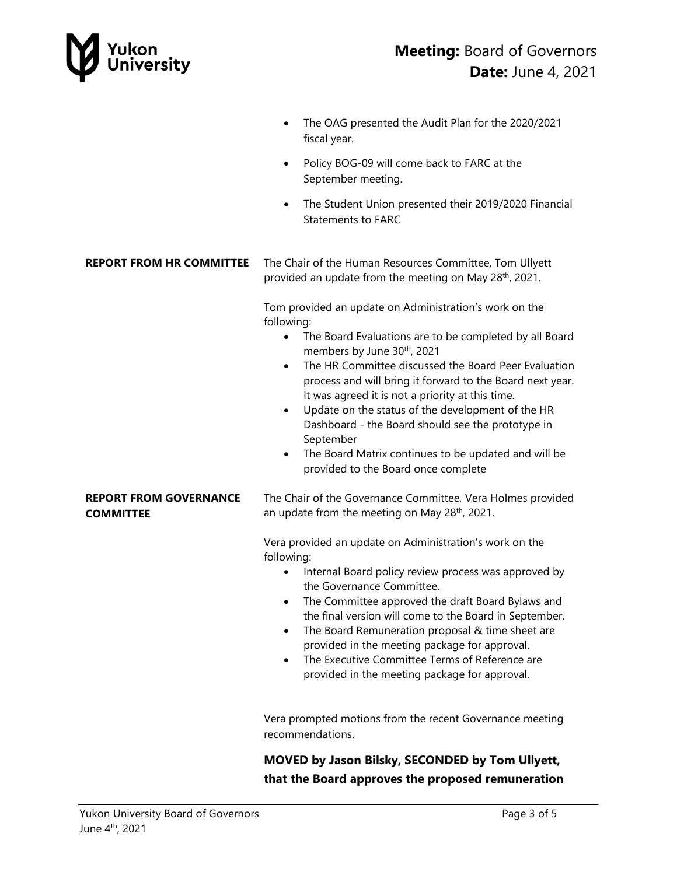

**COMMITTEE** 

- The OAG presented the Audit Plan for the 2020/2021 fiscal year.
- Policy BOG-09 will come back to FARC at the September meeting.
- The Student Union presented their 2019/2020 Financial Statements to FARC

**REPORT FROM HR COMMITTEE** The Chair of the Human Resources Committee, Tom Ullyett provided an update from the meeting on May 28<sup>th</sup>, 2021.

> Tom provided an update on Administration's work on the following:

- The Board Evaluations are to be completed by all Board members by June 30th, 2021
- The HR Committee discussed the Board Peer Evaluation process and will bring it forward to the Board next year. It was agreed it is not a priority at this time.
- Update on the status of the development of the HR Dashboard - the Board should see the prototype in September
- The Board Matrix continues to be updated and will be provided to the Board once complete

**REPORT FROM GOVERNANCE**  The Chair of the Governance Committee, Vera Holmes provided an update from the meeting on May  $28<sup>th</sup>$ , 2021.

> Vera provided an update on Administration's work on the following:

- Internal Board policy review process was approved by the Governance Committee.
- The Committee approved the draft Board Bylaws and the final version will come to the Board in September.
- The Board Remuneration proposal & time sheet are provided in the meeting package for approval.
- The Executive Committee Terms of Reference are provided in the meeting package for approval.

Vera prompted motions from the recent Governance meeting recommendations.

**MOVED by Jason Bilsky, SECONDED by Tom Ullyett, that the Board approves the proposed remuneration**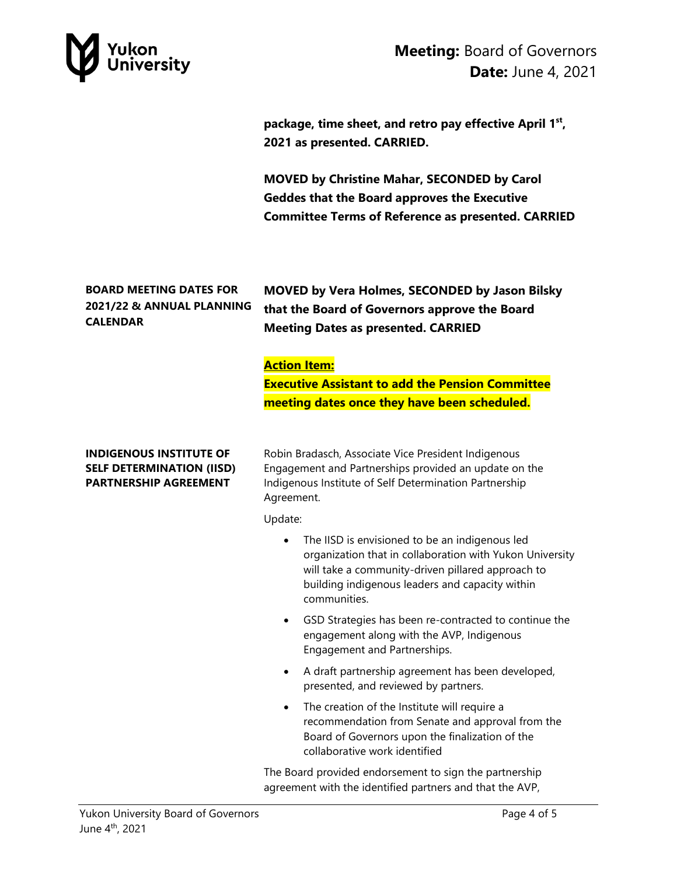

**package, time sheet, and retro pay effective April 1st, 2021 as presented. CARRIED.** 

**MOVED by Christine Mahar, SECONDED by Carol Geddes that the Board approves the Executive Committee Terms of Reference as presented. CARRIED**

## **BOARD MEETING DATES FOR 2021/22 & ANNUAL PLANNING CALENDAR**

**MOVED by Vera Holmes, SECONDED by Jason Bilsky that the Board of Governors approve the Board Meeting Dates as presented. CARRIED**

## **Action Item:**

**Executive Assistant to add the Pension Committee meeting dates once they have been scheduled.**

#### **INDIGENOUS INSTITUTE OF SELF DETERMINATION (IISD) PARTNERSHIP AGREEMENT**

Robin Bradasch, Associate Vice President Indigenous Engagement and Partnerships provided an update on the Indigenous Institute of Self Determination Partnership Agreement.

Update:

- The IISD is envisioned to be an indigenous led organization that in collaboration with Yukon University will take a community-driven pillared approach to building indigenous leaders and capacity within communities.
- GSD Strategies has been re-contracted to continue the engagement along with the AVP, Indigenous Engagement and Partnerships.
- A draft partnership agreement has been developed, presented, and reviewed by partners.
- The creation of the Institute will require a recommendation from Senate and approval from the Board of Governors upon the finalization of the collaborative work identified

The Board provided endorsement to sign the partnership agreement with the identified partners and that the AVP,